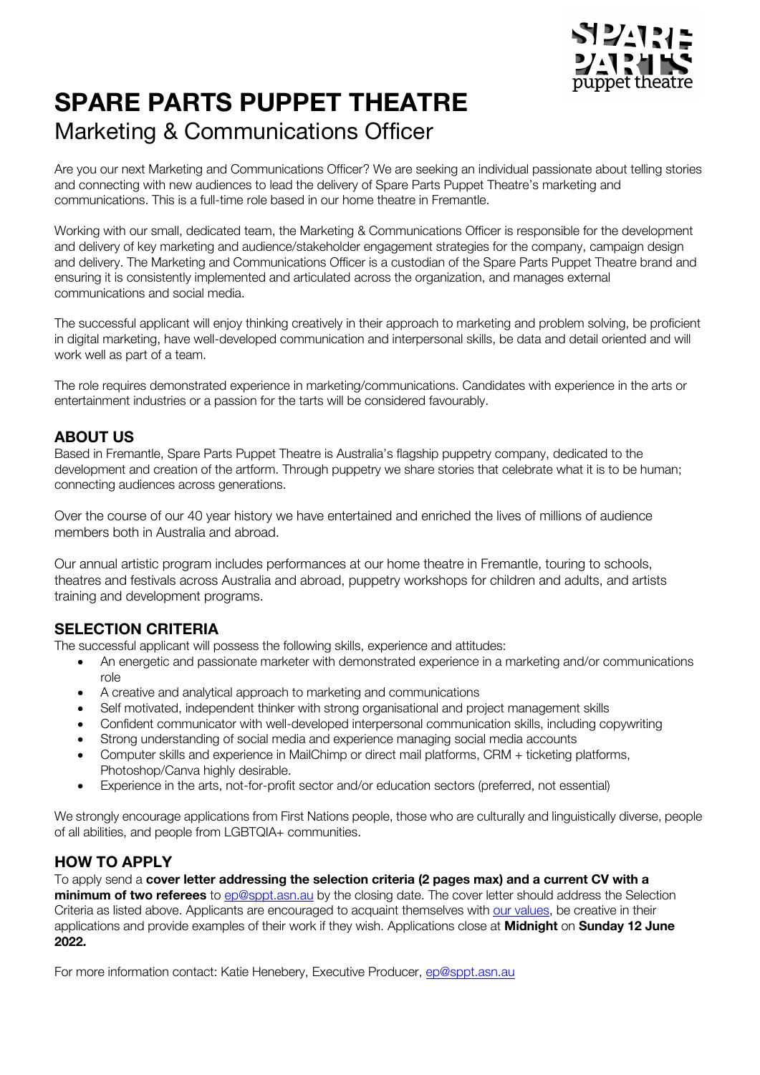

# **SPARE PARTS PUPPET THEATRE** Marketing & Communications Officer

Are you our next Marketing and Communications Officer? We are seeking an individual passionate about telling stories and connecting with new audiences to lead the delivery of Spare Parts Puppet Theatre's marketing and communications. This is a full-time role based in our home theatre in Fremantle.

Working with our small, dedicated team, the Marketing & Communications Officer is responsible for the development and delivery of key marketing and audience/stakeholder engagement strategies for the company, campaign design and delivery. The Marketing and Communications Officer is a custodian of the Spare Parts Puppet Theatre brand and ensuring it is consistently implemented and articulated across the organization, and manages external communications and social media.

The successful applicant will enjoy thinking creatively in their approach to marketing and problem solving, be proficient in digital marketing, have well-developed communication and interpersonal skills, be data and detail oriented and will work well as part of a team.

The role requires demonstrated experience in marketing/communications. Candidates with experience in the arts or entertainment industries or a passion for the tarts will be considered favourably.

# **ABOUT US**

Based in Fremantle, Spare Parts Puppet Theatre is Australia's flagship puppetry company, dedicated to the development and creation of the artform. Through puppetry we share stories that celebrate what it is to be human; connecting audiences across generations.

Over the course of our 40 year history we have entertained and enriched the lives of millions of audience members both in Australia and abroad.

Our annual artistic program includes performances at our home theatre in Fremantle, touring to schools, theatres and festivals across Australia and abroad, puppetry workshops for children and adults, and artists training and development programs.

## **SELECTION CRITERIA**

The successful applicant will possess the following skills, experience and attitudes:

- An energetic and passionate marketer with demonstrated experience in a marketing and/or communications role
- A creative and analytical approach to marketing and communications
- Self motivated, independent thinker with strong organisational and project management skills
- Confident communicator with well-developed interpersonal communication skills, including copywriting
- Strong understanding of social media and experience managing social media accounts
- Computer skills and experience in MailChimp or direct mail platforms, CRM + ticketing platforms, Photoshop/Canva highly desirable.
- Experience in the arts, not-for-profit sector and/or education sectors (preferred, not essential)

We strongly encourage applications from First Nations people, those who are culturally and linguistically diverse, people of all abilities, and people from LGBTQIA+ communities.

# **HOW TO APPLY**

To apply send a **cover letter addressing the selection criteria (2 pages max) and a current CV with a minimum of two referees** to ep@sppt.asn.au by the closing date. The cover letter should address the Selection Criteria as listed above. Applicants are encouraged to acquaint themselves with our values, be creative in their applications and provide examples of their work if they wish. Applications close at **Midnight** on **Sunday 12 June 2022.**

For more information contact: Katie Henebery, Executive Producer, ep@sppt.asn.au